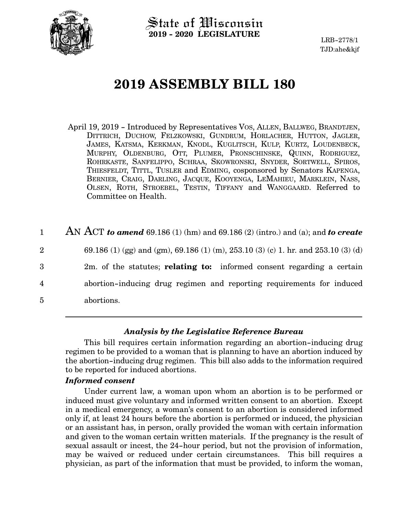

State of Wisconsin **2019 - 2020 LEGISLATURE**

LRB-2778/1 TJD:ahe&kjf

# **2019 ASSEMBLY BILL 180**

- April 19, 2019 Introduced by Representatives VOS, ALLEN, BALLWEG, BRANDTJEN, DITTRICH, DUCHOW, FELZKOWSKI, GUNDRUM, HORLACHER, HUTTON, JAGLER, JAMES, KATSMA, KERKMAN, KNODL, KUGLITSCH, KULP, KURTZ, LOUDENBECK, MURPHY, OLDENBURG, OTT, PLUMER, PRONSCHINSKE, QUINN, RODRIGUEZ, ROHRKASTE, SANFELIPPO, SCHRAA, SKOWRONSKI, SNYDER, SORTWELL, SPIROS, THIESFELDT, TITTL, TUSLER and EDMING, cosponsored by Senators KAPENGA, BERNIER, CRAIG, DARLING, JACQUE, KOOYENGA, LEMAHIEU, MARKLEIN, NASS, OLSEN, ROTH, STROEBEL, TESTIN, TIFFANY and WANGGAARD. Referred to Committee on Health.
- AN ACT *to amend* 69.186 (1) (hm) and 69.186 (2) (intro.) and (a); and *to create* 69.186 (1) (gg) and (gm), 69.186 (1) (m), 253.10 (3) (c) 1. hr. and 253.10 (3) (d) 2m. of the statutes; **relating to:** informed consent regarding a certain abortion-inducing drug regimen and reporting requirements for induced abortions. 1 2 3 4 5

## *Analysis by the Legislative Reference Bureau*

This bill requires certain information regarding an abortion-inducing drug regimen to be provided to a woman that is planning to have an abortion induced by the abortion-inducing drug regimen. This bill also adds to the information required to be reported for induced abortions.

### *Informed consent*

Under current law, a woman upon whom an abortion is to be performed or induced must give voluntary and informed written consent to an abortion. Except in a medical emergency, a woman's consent to an abortion is considered informed only if, at least 24 hours before the abortion is performed or induced, the physician or an assistant has, in person, orally provided the woman with certain information and given to the woman certain written materials. If the pregnancy is the result of sexual assault or incest, the 24-hour period, but not the provision of information, may be waived or reduced under certain circumstances. This bill requires a physician, as part of the information that must be provided, to inform the woman,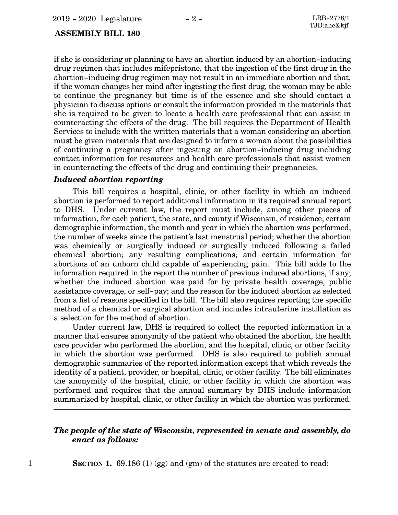#### **ASSEMBLY BILL 180**

if she is considering or planning to have an abortion induced by an abortion-inducing drug regimen that includes mifepristone, that the ingestion of the first drug in the abortion-inducing drug regimen may not result in an immediate abortion and that, if the woman changes her mind after ingesting the first drug, the woman may be able to continue the pregnancy but time is of the essence and she should contact a physician to discuss options or consult the information provided in the materials that she is required to be given to locate a health care professional that can assist in counteracting the effects of the drug. The bill requires the Department of Health Services to include with the written materials that a woman considering an abortion must be given materials that are designed to inform a woman about the possibilities of continuing a pregnancy after ingesting an abortion-inducing drug including contact information for resources and health care professionals that assist women in counteracting the effects of the drug and continuing their pregnancies.

#### *Induced abortion reporting*

This bill requires a hospital, clinic, or other facility in which an induced abortion is performed to report additional information in its required annual report to DHS. Under current law, the report must include, among other pieces of information, for each patient, the state, and county if Wisconsin, of residence; certain demographic information; the month and year in which the abortion was performed; the number of weeks since the patient's last menstrual period; whether the abortion was chemically or surgically induced or surgically induced following a failed chemical abortion; any resulting complications; and certain information for abortions of an unborn child capable of experiencing pain. This bill adds to the information required in the report the number of previous induced abortions, if any; whether the induced abortion was paid for by private health coverage, public assistance coverage, or self-pay; and the reason for the induced abortion as selected from a list of reasons specified in the bill. The bill also requires reporting the specific method of a chemical or surgical abortion and includes intrauterine instillation as a selection for the method of abortion.

Under current law, DHS is required to collect the reported information in a manner that ensures anonymity of the patient who obtained the abortion, the health care provider who performed the abortion, and the hospital, clinic, or other facility in which the abortion was performed. DHS is also required to publish annual demographic summaries of the reported information except that which reveals the identity of a patient, provider, or hospital, clinic, or other facility. The bill eliminates the anonymity of the hospital, clinic, or other facility in which the abortion was performed and requires that the annual summary by DHS include information summarized by hospital, clinic, or other facility in which the abortion was performed.

## *The people of the state of Wisconsin, represented in senate and assembly, do enact as follows:*

1 **SECTION 1.** 69.186 (1) (gg) and (gm) of the statutes are created to read: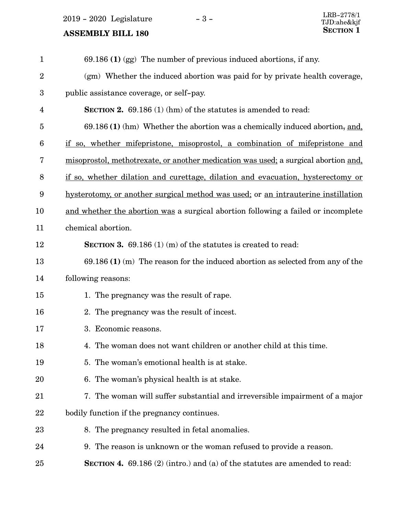2019 - 2020 Legislature - 3 -  $\,$ 

# **ASSEMBLY BILL 180**

| $\mathbf{1}$   | $69.186$ (1) (gg) The number of previous induced abortions, if any.                 |
|----------------|-------------------------------------------------------------------------------------|
| $\overline{2}$ | (gm) Whether the induced abortion was paid for by private health coverage,          |
| 3              | public assistance coverage, or self-pay.                                            |
| 4              | <b>SECTION 2.</b> 69.186 (1) (hm) of the statutes is amended to read:               |
| $\overline{5}$ | 69.186 (1) (hm) Whether the abortion was a chemically induced abortion, and,        |
| 6              | if so, whether mifepristone, misoprostol, a combination of mifepristone and         |
| 7              | misoprostol, methotrexate, or another medication was used; a surgical abortion and, |
| 8              | if so, whether dilation and curettage, dilation and evacuation, hysterectomy or     |
| 9              | hysterotomy, or another surgical method was used; or an intrauterine instillation   |
| 10             | and whether the abortion was a surgical abortion following a failed or incomplete   |
| 11             | chemical abortion.                                                                  |
| 12             | <b>SECTION 3.</b> 69.186 (1) (m) of the statutes is created to read:                |
| 13             | $69.186$ (1) (m) The reason for the induced abortion as selected from any of the    |
| 14             | following reasons:                                                                  |
| 15             | 1. The pregnancy was the result of rape.                                            |
| 16             | 2. The pregnancy was the result of incest.                                          |
| 17             | 3. Economic reasons.                                                                |
| 18             | 4. The woman does not want children or another child at this time.                  |
| 19             | 5. The woman's emotional health is at stake.                                        |
| 20             | 6. The woman's physical health is at stake.                                         |
| 21             | 7. The woman will suffer substantial and irreversible impairment of a major         |
| 22             | bodily function if the pregnancy continues.                                         |
| 23             | 8. The pregnancy resulted in fetal anomalies.                                       |
| 24             | 9. The reason is unknown or the woman refused to provide a reason.                  |
| 25             | <b>SECTION 4.</b> 69.186 (2) (intro.) and (a) of the statutes are amended to read:  |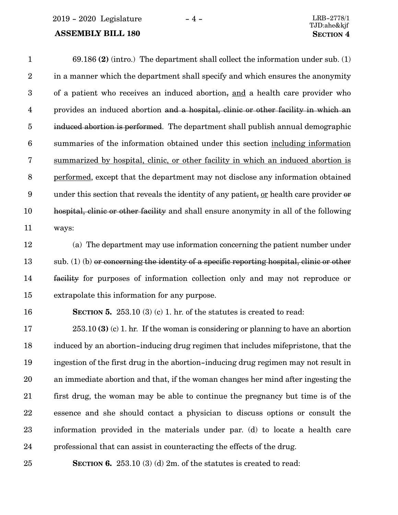2019 - 2020 Legislature - 4 - LRB-2778/1

# **ASSEMBLY BILL 180 SECTION 4**

| $\mathbf{1}$     | $69.186$ (2) (intro.) The department shall collect the information under sub. (1)         |
|------------------|-------------------------------------------------------------------------------------------|
| $\sqrt{2}$       | in a manner which the department shall specify and which ensures the anonymity            |
| $\boldsymbol{3}$ | of a patient who receives an induced abortion, and a health care provider who             |
| $\overline{4}$   | provides an induced abortion and a hospital, clinic or other facility in which an         |
| $\bf 5$          | induced abortion is performed. The department shall publish annual demographic            |
| $\boldsymbol{6}$ | summaries of the information obtained under this section including information            |
| $\bf 7$          | summarized by hospital, clinic, or other facility in which an induced abortion is         |
| $\, 8$           | performed, except that the department may not disclose any information obtained           |
| $\boldsymbol{9}$ | under this section that reveals the identity of any patient, or health care provider or   |
| 10               | hospital, clinic or other facility and shall ensure anonymity in all of the following     |
| 11               | ways:                                                                                     |
| 12               | (a) The department may use information concerning the patient number under                |
| 13               | sub. (1) (b) or concerning the identity of a specific reporting hospital, clinic or other |
| 14               | facility for purposes of information collection only and may not reproduce or             |
| 15               | extrapolate this information for any purpose.                                             |
| 16               | <b>SECTION 5.</b> 253.10 (3) (c) 1. hr. of the statutes is created to read:               |
| 17               | $253.10(3)$ (c) 1. hr. If the woman is considering or planning to have an abortion        |
| 18               | induced by an abortion-inducing drug regimen that includes mifepristone, that the         |
| 19               | ingestion of the first drug in the abortion-inducing drug regimen may not result in       |
| 20               | an immediate abortion and that, if the woman changes her mind after ingesting the         |
| 21               | first drug, the woman may be able to continue the pregnancy but time is of the            |
| 22               | essence and she should contact a physician to discuss options or consult the              |
| 23               | information provided in the materials under par. (d) to locate a health care              |
|                  |                                                                                           |

professional that can assist in counteracting the effects of the drug. 24

25

**SECTION 6.** 253.10 (3) (d) 2m. of the statutes is created to read: